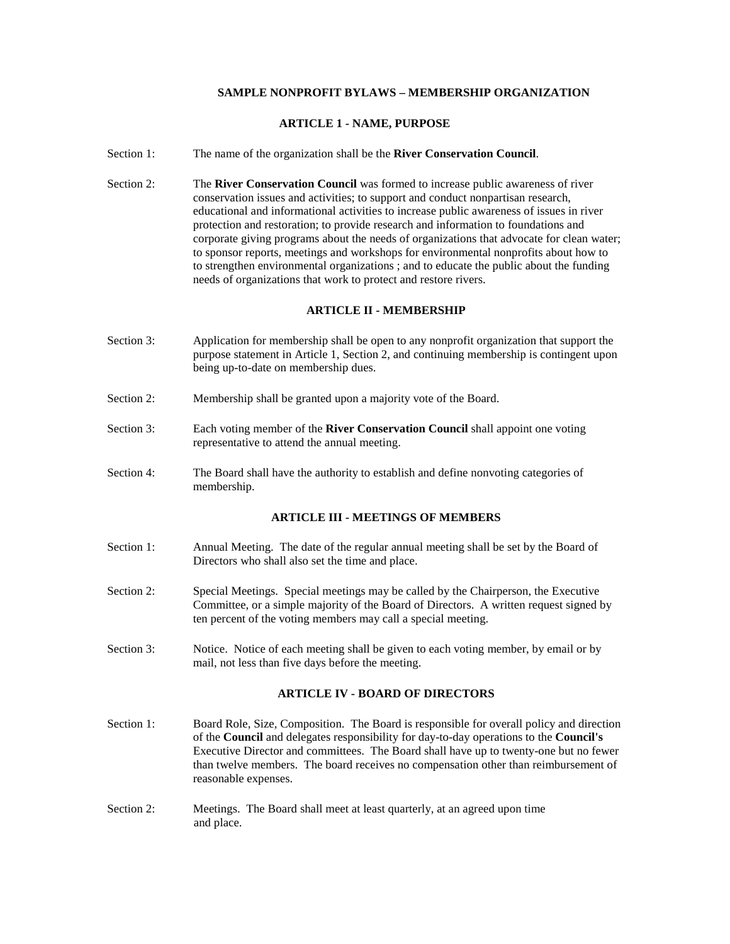# **SAMPLE NONPROFIT BYLAWS – MEMBERSHIP ORGANIZATION**

# **ARTICLE 1 - NAME, PURPOSE**

- Section 1: The name of the organization shall be the **River Conservation Council**.
- Section 2: The **River Conservation Council** was formed to increase public awareness of river conservation issues and activities; to support and conduct nonpartisan research, educational and informational activities to increase public awareness of issues in river protection and restoration; to provide research and information to foundations and corporate giving programs about the needs of organizations that advocate for clean water; to sponsor reports, meetings and workshops for environmental nonprofits about how to to strengthen environmental organizations ; and to educate the public about the funding needs of organizations that work to protect and restore rivers.

## **ARTICLE II - MEMBERSHIP**

- Section 3: Application for membership shall be open to any nonprofit organization that support the purpose statement in Article 1, Section 2, and continuing membership is contingent upon being up-to-date on membership dues.
- Section 2: Membership shall be granted upon a majority vote of the Board.
- Section 3: Each voting member of the **River Conservation Council** shall appoint one voting representative to attend the annual meeting.
- Section 4: The Board shall have the authority to establish and define nonvoting categories of membership.

### **ARTICLE III - MEETINGS OF MEMBERS**

- Section 1: Annual Meeting. The date of the regular annual meeting shall be set by the Board of Directors who shall also set the time and place.
- Section 2: Special Meetings. Special meetings may be called by the Chairperson, the Executive Committee, or a simple majority of the Board of Directors. A written request signed by ten percent of the voting members may call a special meeting.
- Section 3: Notice. Notice of each meeting shall be given to each voting member, by email or by mail, not less than five days before the meeting.

#### **ARTICLE IV - BOARD OF DIRECTORS**

- Section 1: Board Role, Size, Composition. The Board is responsible for overall policy and direction of the **Council** and delegates responsibility for day-to-day operations to the **Council's**  Executive Director and committees. The Board shall have up to twenty-one but no fewer than twelve members. The board receives no compensation other than reimbursement of reasonable expenses.
- Section 2: Meetings. The Board shall meet at least quarterly, at an agreed upon time and place.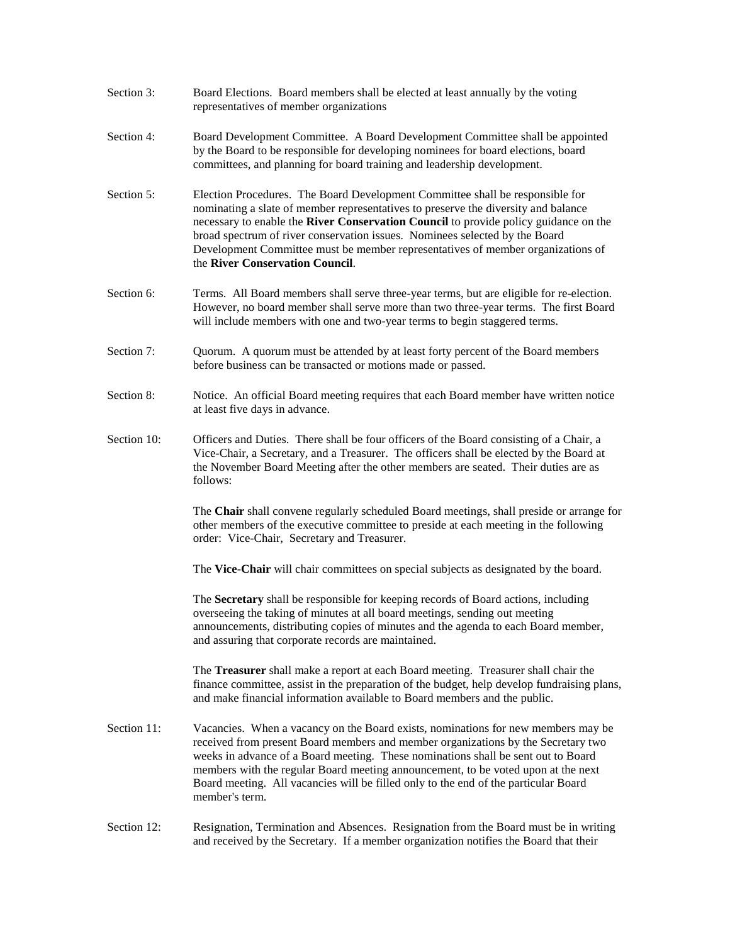- Section 3: Board Elections. Board members shall be elected at least annually by the voting representatives of member organizations
- Section 4: Board Development Committee. A Board Development Committee shall be appointed by the Board to be responsible for developing nominees for board elections, board committees, and planning for board training and leadership development.
- Section 5: Election Procedures. The Board Development Committee shall be responsible for nominating a slate of member representatives to preserve the diversity and balance necessary to enable the **River Conservation Council** to provide policy guidance on the broad spectrum of river conservation issues. Nominees selected by the Board Development Committee must be member representatives of member organizations of the **River Conservation Council**.
- Section 6: Terms. All Board members shall serve three-year terms, but are eligible for re-election. However, no board member shall serve more than two three-year terms. The first Board will include members with one and two-year terms to begin staggered terms.
- Section 7: Quorum. A quorum must be attended by at least forty percent of the Board members before business can be transacted or motions made or passed.
- Section 8: Notice. An official Board meeting requires that each Board member have written notice at least five days in advance.
- Section 10: Officers and Duties. There shall be four officers of the Board consisting of a Chair, a Vice-Chair, a Secretary, and a Treasurer. The officers shall be elected by the Board at the November Board Meeting after the other members are seated. Their duties are as follows:

 The **Chair** shall convene regularly scheduled Board meetings, shall preside or arrange for other members of the executive committee to preside at each meeting in the following order: Vice-Chair, Secretary and Treasurer.

The **Vice-Chair** will chair committees on special subjects as designated by the board.

 The **Secretary** shall be responsible for keeping records of Board actions, including overseeing the taking of minutes at all board meetings, sending out meeting announcements, distributing copies of minutes and the agenda to each Board member, and assuring that corporate records are maintained.

 The **Treasurer** shall make a report at each Board meeting. Treasurer shall chair the finance committee, assist in the preparation of the budget, help develop fundraising plans, and make financial information available to Board members and the public.

- Section 11: Vacancies. When a vacancy on the Board exists, nominations for new members may be received from present Board members and member organizations by the Secretary two weeks in advance of a Board meeting. These nominations shall be sent out to Board members with the regular Board meeting announcement, to be voted upon at the next Board meeting. All vacancies will be filled only to the end of the particular Board member's term.
- Section 12: Resignation, Termination and Absences. Resignation from the Board must be in writing and received by the Secretary. If a member organization notifies the Board that their